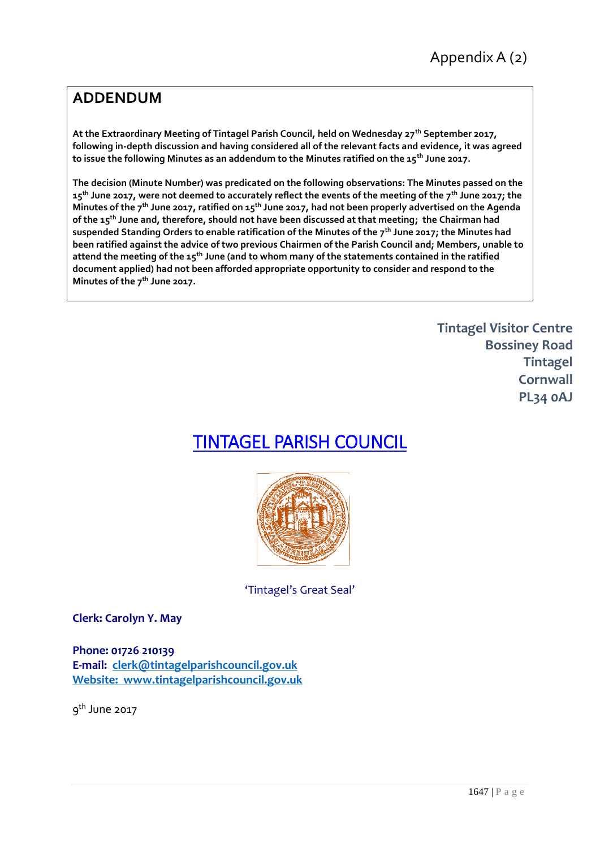## **ADDENDUM**

**At the Extraordinary Meeting of Tintagel Parish Council, held on Wednesday 27th September 2017, following in-depth discussion and having considered all of the relevant facts and evidence, it was agreed to issue the following Minutes as an addendum to the Minutes ratified on the 15th June 2017.**

**The decision (Minute Number) was predicated on the following observations: The Minutes passed on the 15th June 2017, were not deemed to accurately reflect the events of the meeting of the 7th June 2017; the Minutes of the 7th June 2017, ratified on 15th June 2017, had not been properly advertised on the Agenda of the 15th June and, therefore, should not have been discussed at that meeting; the Chairman had suspended Standing Orders to enable ratification of the Minutes of the 7th June 2017; the Minutes had been ratified against the advice of two previous Chairmen of the Parish Council and; Members, unable to attend the meeting of the 15th June (and to whom many of the statements contained in the ratified document applied) had not been afforded appropriate opportunity to consider and respond to the Minutes of the 7th June 2017.**

> **Tintagel Visitor Centre Bossiney Road Tintagel Cornwall PL34 0AJ**

## TINTAGEL PARISH COUNCIL



'Tintagel's Great Seal'

**Clerk: Carolyn Y. May**

**Phone: 01726 210139 E-mail: [clerk@tintagelparishcouncil.gov.uk](mailto:clerk@tintagelparishcouncil.gov.uk) Website: www.tintagelparishcouncil.gov.uk**

9<sup>th</sup> June 2017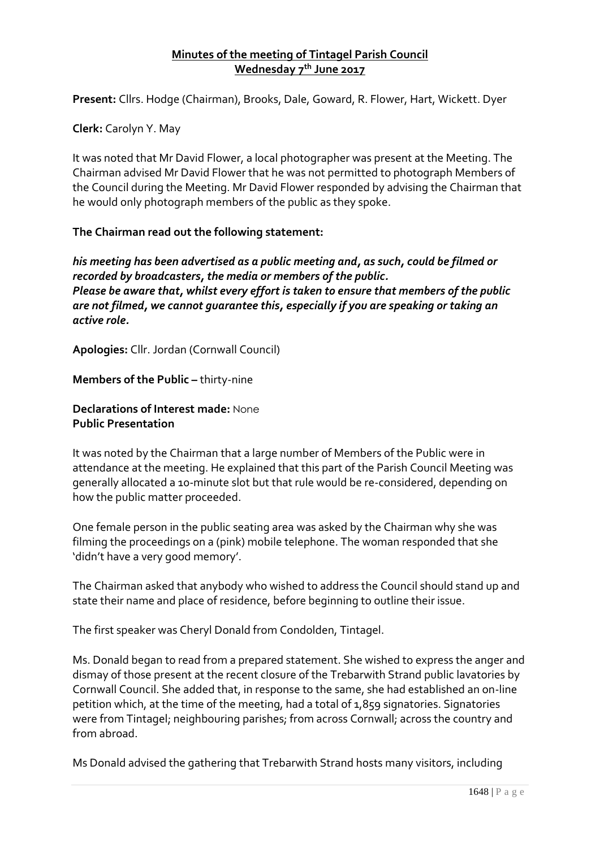## **Minutes of the meeting of Tintagel Parish Council Wednesday 7th June 2017**

**Present:** Cllrs. Hodge (Chairman), Brooks, Dale, Goward, R. Flower, Hart, Wickett. Dyer

**Clerk:** Carolyn Y. May

It was noted that Mr David Flower, a local photographer was present at the Meeting. The Chairman advised Mr David Flower that he was not permitted to photograph Members of the Council during the Meeting. Mr David Flower responded by advising the Chairman that he would only photograph members of the public as they spoke.

**The Chairman read out the following statement:**

*his meeting has been advertised as a public meeting and, as such, could be filmed or recorded by broadcasters, the media or members of the public. Please be aware that, whilst every effort is taken to ensure that members of the public are not filmed, we cannot guarantee this, especially if you are speaking or taking an active role.*

**Apologies:** Cllr. Jordan (Cornwall Council)

**Members of the Public -** thirty-nine

**Declarations of Interest made:** None **Public Presentation**

It was noted by the Chairman that a large number of Members of the Public were in attendance at the meeting. He explained that this part of the Parish Council Meeting was generally allocated a 10-minute slot but that rule would be re-considered, depending on how the public matter proceeded.

One female person in the public seating area was asked by the Chairman why she was filming the proceedings on a (pink) mobile telephone. The woman responded that she 'didn't have a very good memory'.

The Chairman asked that anybody who wished to address the Council should stand up and state their name and place of residence, before beginning to outline their issue.

The first speaker was Cheryl Donald from Condolden, Tintagel.

Ms. Donald began to read from a prepared statement. She wished to express the anger and dismay of those present at the recent closure of the Trebarwith Strand public lavatories by Cornwall Council. She added that, in response to the same, she had established an on-line petition which, at the time of the meeting, had a total of 1,859 signatories. Signatories were from Tintagel; neighbouring parishes; from across Cornwall; across the country and from abroad.

Ms Donald advised the gathering that Trebarwith Strand hosts many visitors, including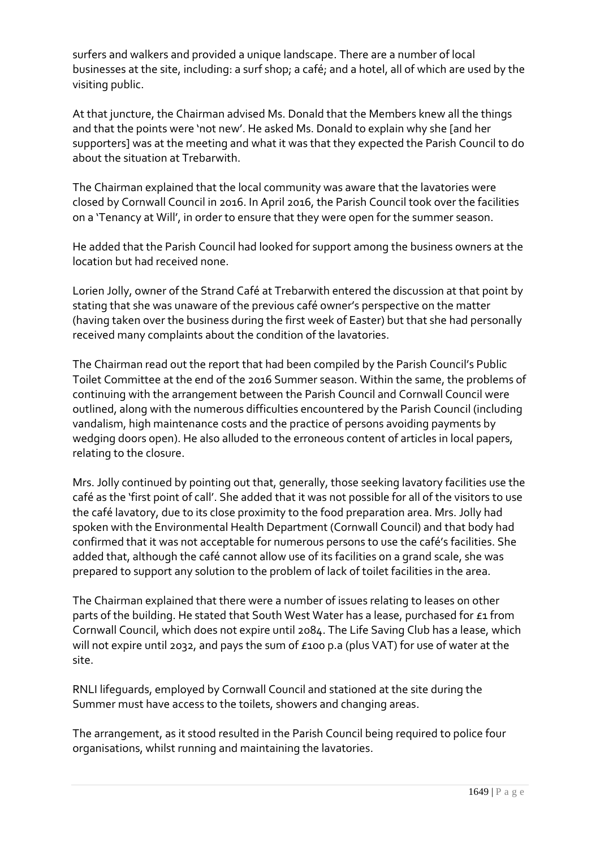surfers and walkers and provided a unique landscape. There are a number of local businesses at the site, including: a surf shop; a café; and a hotel, all of which are used by the visiting public.

At that juncture, the Chairman advised Ms. Donald that the Members knew all the things and that the points were 'not new'. He asked Ms. Donald to explain why she [and her supporters] was at the meeting and what it was that they expected the Parish Council to do about the situation at Trebarwith.

The Chairman explained that the local community was aware that the lavatories were closed by Cornwall Council in 2016. In April 2016, the Parish Council took over the facilities on a 'Tenancy at Will', in order to ensure that they were open for the summer season.

He added that the Parish Council had looked for support among the business owners at the location but had received none.

Lorien Jolly, owner of the Strand Café at Trebarwith entered the discussion at that point by stating that she was unaware of the previous café owner's perspective on the matter (having taken over the business during the first week of Easter) but that she had personally received many complaints about the condition of the lavatories.

The Chairman read out the report that had been compiled by the Parish Council's Public Toilet Committee at the end of the 2016 Summer season. Within the same, the problems of continuing with the arrangement between the Parish Council and Cornwall Council were outlined, along with the numerous difficulties encountered by the Parish Council (including vandalism, high maintenance costs and the practice of persons avoiding payments by wedging doors open). He also alluded to the erroneous content of articles in local papers, relating to the closure.

Mrs. Jolly continued by pointing out that, generally, those seeking lavatory facilities use the café as the 'first point of call'. She added that it was not possible for all of the visitors to use the café lavatory, due to its close proximity to the food preparation area. Mrs. Jolly had spoken with the Environmental Health Department (Cornwall Council) and that body had confirmed that it was not acceptable for numerous persons to use the café's facilities. She added that, although the café cannot allow use of its facilities on a grand scale, she was prepared to support any solution to the problem of lack of toilet facilities in the area.

The Chairman explained that there were a number of issues relating to leases on other parts of the building. He stated that South West Water has a lease, purchased for £1 from Cornwall Council, which does not expire until 2084. The Life Saving Club has a lease, which will not expire until 2032, and pays the sum of £100 p.a (plus VAT) for use of water at the site.

RNLI lifeguards, employed by Cornwall Council and stationed at the site during the Summer must have access to the toilets, showers and changing areas.

The arrangement, as it stood resulted in the Parish Council being required to police four organisations, whilst running and maintaining the lavatories.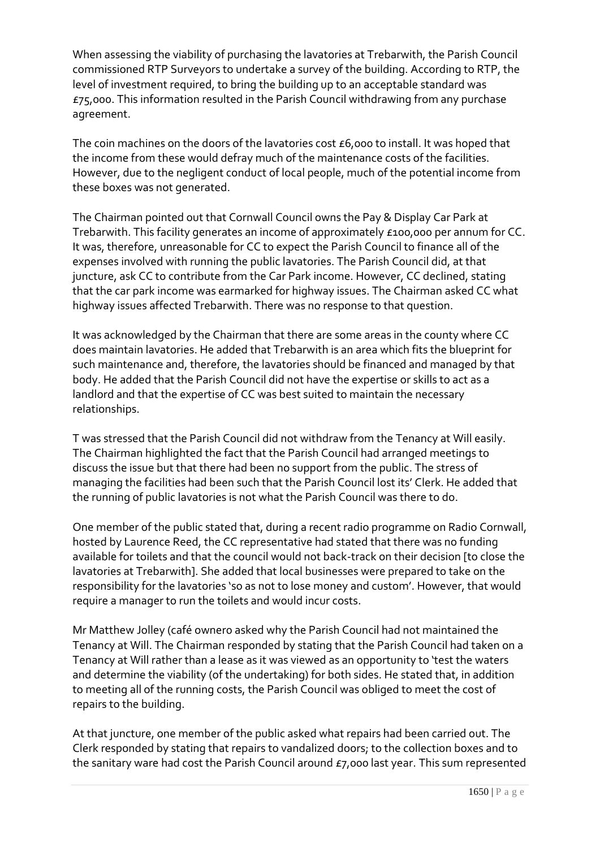When assessing the viability of purchasing the lavatories at Trebarwith, the Parish Council commissioned RTP Surveyors to undertake a survey of the building. According to RTP, the level of investment required, to bring the building up to an acceptable standard was £75,000. This information resulted in the Parish Council withdrawing from any purchase agreement.

The coin machines on the doors of the lavatories cost £6,000 to install. It was hoped that the income from these would defray much of the maintenance costs of the facilities. However, due to the negligent conduct of local people, much of the potential income from these boxes was not generated.

The Chairman pointed out that Cornwall Council owns the Pay & Display Car Park at Trebarwith. This facility generates an income of approximately £100,000 per annum for CC. It was, therefore, unreasonable for CC to expect the Parish Council to finance all of the expenses involved with running the public lavatories. The Parish Council did, at that juncture, ask CC to contribute from the Car Park income. However, CC declined, stating that the car park income was earmarked for highway issues. The Chairman asked CC what highway issues affected Trebarwith. There was no response to that question.

It was acknowledged by the Chairman that there are some areas in the county where CC does maintain lavatories. He added that Trebarwith is an area which fits the blueprint for such maintenance and, therefore, the lavatories should be financed and managed by that body. He added that the Parish Council did not have the expertise or skills to act as a landlord and that the expertise of CC was best suited to maintain the necessary relationships.

T was stressed that the Parish Council did not withdraw from the Tenancy at Will easily. The Chairman highlighted the fact that the Parish Council had arranged meetings to discuss the issue but that there had been no support from the public. The stress of managing the facilities had been such that the Parish Council lost its' Clerk. He added that the running of public lavatories is not what the Parish Council was there to do.

One member of the public stated that, during a recent radio programme on Radio Cornwall, hosted by Laurence Reed, the CC representative had stated that there was no funding available for toilets and that the council would not back-track on their decision [to close the lavatories at Trebarwith]. She added that local businesses were prepared to take on the responsibility for the lavatories 'so as not to lose money and custom'. However, that would require a manager to run the toilets and would incur costs.

Mr Matthew Jolley (café ownero asked why the Parish Council had not maintained the Tenancy at Will. The Chairman responded by stating that the Parish Council had taken on a Tenancy at Will rather than a lease as it was viewed as an opportunity to 'test the waters and determine the viability (of the undertaking) for both sides. He stated that, in addition to meeting all of the running costs, the Parish Council was obliged to meet the cost of repairs to the building.

At that juncture, one member of the public asked what repairs had been carried out. The Clerk responded by stating that repairs to vandalized doors; to the collection boxes and to the sanitary ware had cost the Parish Council around £7,000 last year. This sum represented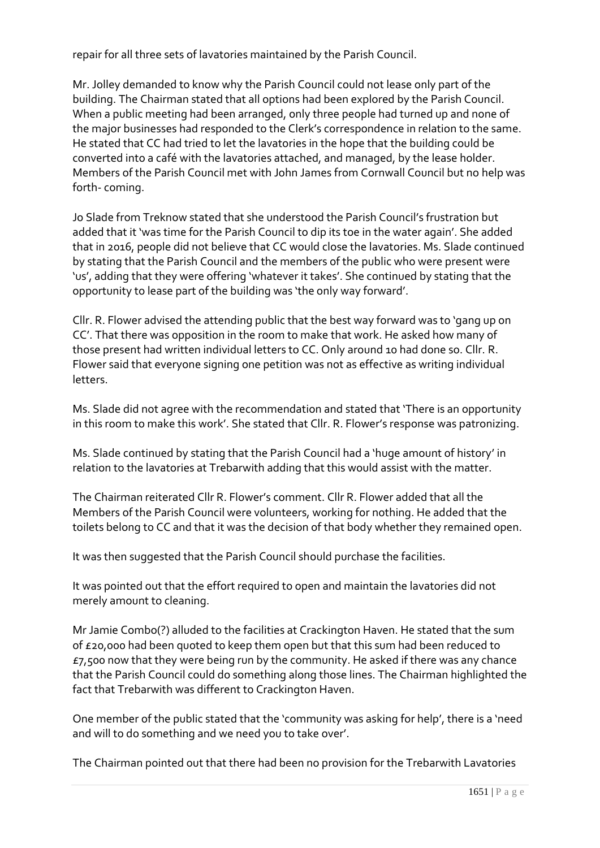repair for all three sets of lavatories maintained by the Parish Council.

Mr. Jolley demanded to know why the Parish Council could not lease only part of the building. The Chairman stated that all options had been explored by the Parish Council. When a public meeting had been arranged, only three people had turned up and none of the major businesses had responded to the Clerk's correspondence in relation to the same. He stated that CC had tried to let the lavatories in the hope that the building could be converted into a café with the lavatories attached, and managed, by the lease holder. Members of the Parish Council met with John James from Cornwall Council but no help was forth- coming.

Jo Slade from Treknow stated that she understood the Parish Council's frustration but added that it 'was time for the Parish Council to dip its toe in the water again'. She added that in 2016, people did not believe that CC would close the lavatories. Ms. Slade continued by stating that the Parish Council and the members of the public who were present were 'us', adding that they were offering 'whatever it takes'. She continued by stating that the opportunity to lease part of the building was 'the only way forward'.

Cllr. R. Flower advised the attending public that the best way forward was to 'gang up on CC'. That there was opposition in the room to make that work. He asked how many of those present had written individual letters to CC. Only around 10 had done so. Cllr. R. Flower said that everyone signing one petition was not as effective as writing individual letters.

Ms. Slade did not agree with the recommendation and stated that 'There is an opportunity in this room to make this work'. She stated that Cllr. R. Flower's response was patronizing.

Ms. Slade continued by stating that the Parish Council had a 'huge amount of history' in relation to the lavatories at Trebarwith adding that this would assist with the matter.

The Chairman reiterated Cllr R. Flower's comment. Cllr R. Flower added that all the Members of the Parish Council were volunteers, working for nothing. He added that the toilets belong to CC and that it was the decision of that body whether they remained open.

It was then suggested that the Parish Council should purchase the facilities.

It was pointed out that the effort required to open and maintain the lavatories did not merely amount to cleaning.

Mr Jamie Combo(?) alluded to the facilities at Crackington Haven. He stated that the sum of £20,000 had been quoted to keep them open but that this sum had been reduced to  $E$ 7,500 now that they were being run by the community. He asked if there was any chance that the Parish Council could do something along those lines. The Chairman highlighted the fact that Trebarwith was different to Crackington Haven.

One member of the public stated that the 'community was asking for help', there is a 'need and will to do something and we need you to take over'.

The Chairman pointed out that there had been no provision for the Trebarwith Lavatories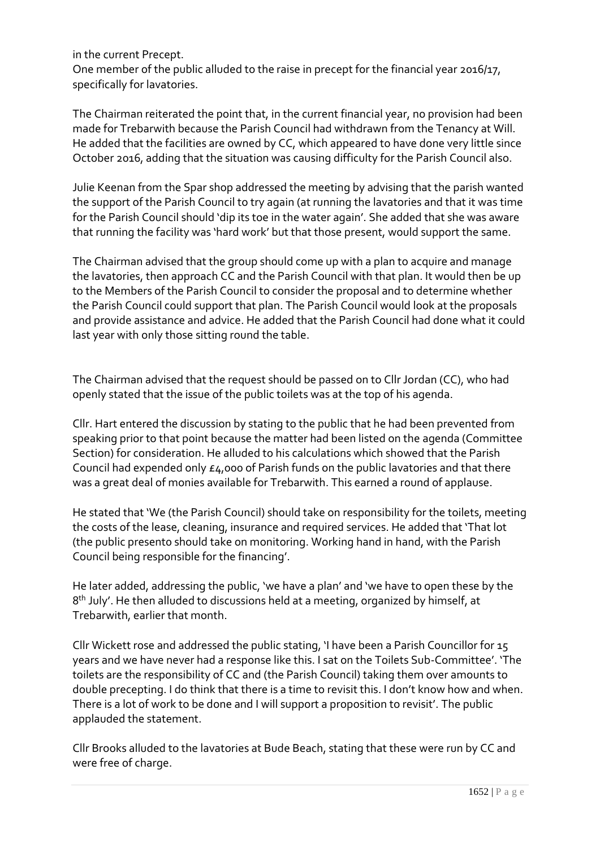in the current Precept.

One member of the public alluded to the raise in precept for the financial year 2016/17, specifically for lavatories.

The Chairman reiterated the point that, in the current financial year, no provision had been made for Trebarwith because the Parish Council had withdrawn from the Tenancy at Will. He added that the facilities are owned by CC, which appeared to have done very little since October 2016, adding that the situation was causing difficulty for the Parish Council also.

Julie Keenan from the Spar shop addressed the meeting by advising that the parish wanted the support of the Parish Council to try again (at running the lavatories and that it was time for the Parish Council should 'dip its toe in the water again'. She added that she was aware that running the facility was 'hard work' but that those present, would support the same.

The Chairman advised that the group should come up with a plan to acquire and manage the lavatories, then approach CC and the Parish Council with that plan. It would then be up to the Members of the Parish Council to consider the proposal and to determine whether the Parish Council could support that plan. The Parish Council would look at the proposals and provide assistance and advice. He added that the Parish Council had done what it could last year with only those sitting round the table.

The Chairman advised that the request should be passed on to Cllr Jordan (CC), who had openly stated that the issue of the public toilets was at the top of his agenda.

Cllr. Hart entered the discussion by stating to the public that he had been prevented from speaking prior to that point because the matter had been listed on the agenda (Committee Section) for consideration. He alluded to his calculations which showed that the Parish Council had expended only £4,000 of Parish funds on the public lavatories and that there was a great deal of monies available for Trebarwith. This earned a round of applause.

He stated that 'We (the Parish Council) should take on responsibility for the toilets, meeting the costs of the lease, cleaning, insurance and required services. He added that 'That lot (the public presento should take on monitoring. Working hand in hand, with the Parish Council being responsible for the financing'.

He later added, addressing the public, 'we have a plan' and 'we have to open these by the 8<sup>th</sup> July'. He then alluded to discussions held at a meeting, organized by himself, at Trebarwith, earlier that month.

Cllr Wickett rose and addressed the public stating, 'I have been a Parish Councillor for 15 years and we have never had a response like this. I sat on the Toilets Sub-Committee'. 'The toilets are the responsibility of CC and (the Parish Council) taking them over amounts to double precepting. I do think that there is a time to revisit this. I don't know how and when. There is a lot of work to be done and I will support a proposition to revisit'. The public applauded the statement.

Cllr Brooks alluded to the lavatories at Bude Beach, stating that these were run by CC and were free of charge.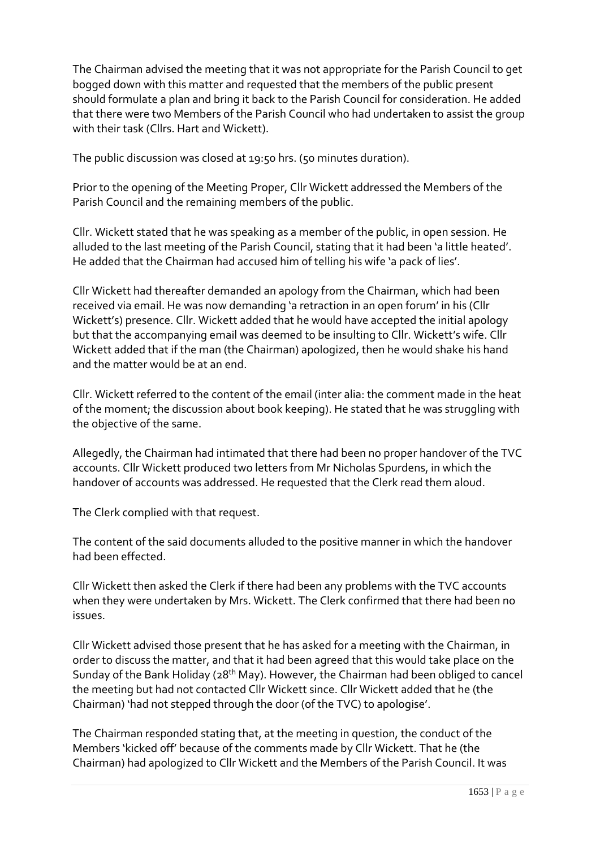The Chairman advised the meeting that it was not appropriate for the Parish Council to get bogged down with this matter and requested that the members of the public present should formulate a plan and bring it back to the Parish Council for consideration. He added that there were two Members of the Parish Council who had undertaken to assist the group with their task (Cllrs. Hart and Wickett).

The public discussion was closed at 19:50 hrs. (50 minutes duration).

Prior to the opening of the Meeting Proper, Cllr Wickett addressed the Members of the Parish Council and the remaining members of the public.

Cllr. Wickett stated that he was speaking as a member of the public, in open session. He alluded to the last meeting of the Parish Council, stating that it had been 'a little heated'. He added that the Chairman had accused him of telling his wife 'a pack of lies'.

Cllr Wickett had thereafter demanded an apology from the Chairman, which had been received via email. He was now demanding 'a retraction in an open forum' in his (Cllr Wickett's) presence. Cllr. Wickett added that he would have accepted the initial apology but that the accompanying email was deemed to be insulting to Cllr. Wickett's wife. Cllr Wickett added that if the man (the Chairman) apologized, then he would shake his hand and the matter would be at an end.

Cllr. Wickett referred to the content of the email (inter alia: the comment made in the heat of the moment; the discussion about book keeping). He stated that he was struggling with the objective of the same.

Allegedly, the Chairman had intimated that there had been no proper handover of the TVC accounts. Cllr Wickett produced two letters from Mr Nicholas Spurdens, in which the handover of accounts was addressed. He requested that the Clerk read them aloud.

The Clerk complied with that request.

The content of the said documents alluded to the positive manner in which the handover had been effected.

Cllr Wickett then asked the Clerk if there had been any problems with the TVC accounts when they were undertaken by Mrs. Wickett. The Clerk confirmed that there had been no issues.

Cllr Wickett advised those present that he has asked for a meeting with the Chairman, in order to discuss the matter, and that it had been agreed that this would take place on the Sunday of the Bank Holiday (28<sup>th</sup> May). However, the Chairman had been obliged to cancel the meeting but had not contacted Cllr Wickett since. Cllr Wickett added that he (the Chairman) 'had not stepped through the door (of the TVC) to apologise'.

The Chairman responded stating that, at the meeting in question, the conduct of the Members 'kicked off' because of the comments made by Cllr Wickett. That he (the Chairman) had apologized to Cllr Wickett and the Members of the Parish Council. It was